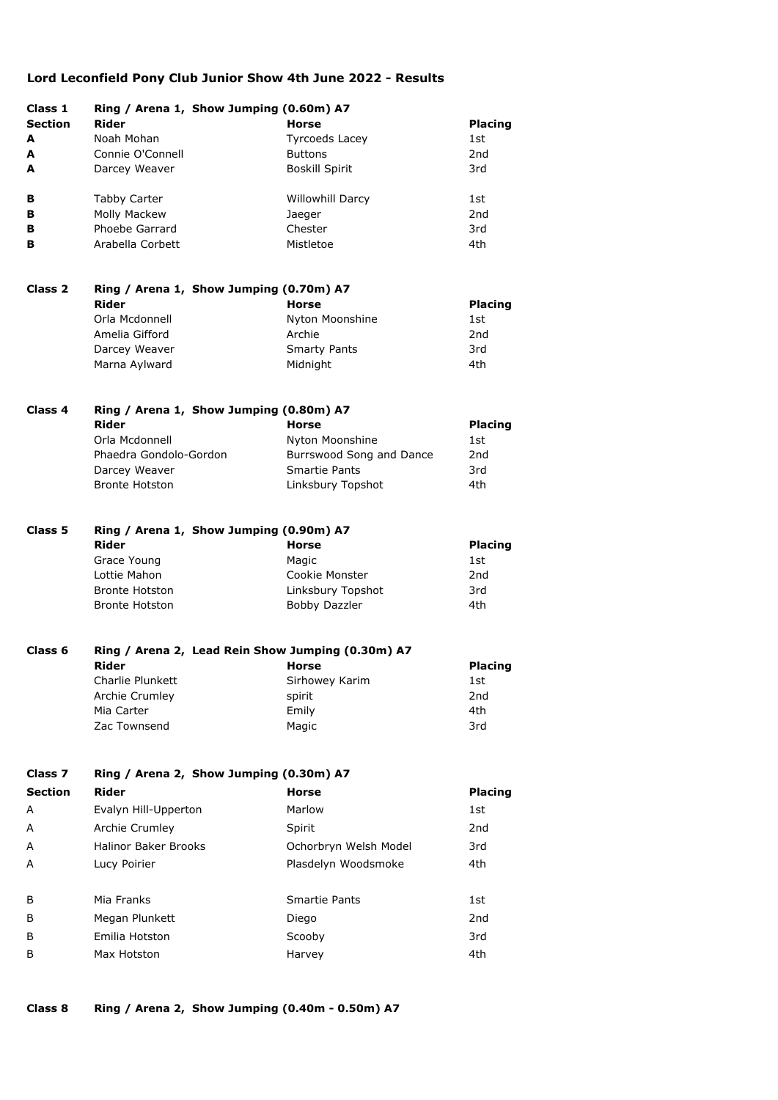## **Lord Leconfield Pony Club Junior Show 4th June 2022 - Results**

| Class 1        | Ring / Arena 1, Show Jumping (0.60m) A7 |                         |                 |
|----------------|-----------------------------------------|-------------------------|-----------------|
| <b>Section</b> | Rider                                   | Horse                   | <b>Placing</b>  |
| A              | Noah Mohan                              | <b>Tyrcoeds Lacey</b>   | 1st             |
| A              | Connie O'Connell                        | <b>Buttons</b>          | 2 <sub>nd</sub> |
| A              | Darcey Weaver                           | <b>Boskill Spirit</b>   | 3rd             |
| в              | <b>Tabby Carter</b>                     | <b>Willowhill Darcy</b> | 1st             |
| в              | Molly Mackew                            | Jaeger                  | 2 <sub>nd</sub> |
| в              | Phoebe Garrard                          | Chester                 | 3rd             |
| в              | Arabella Corbett                        | Mistletoe               | 4th             |

| Class 2 | Ring / Arena 1, Show Jumping (0.70m) A7 |                     |                 |
|---------|-----------------------------------------|---------------------|-----------------|
|         | Rider                                   | <b>Horse</b>        | <b>Placing</b>  |
|         | Orla Mcdonnell                          | Nyton Moonshine     | 1st             |
|         | Amelia Gifford                          | Archie              | 2 <sub>nd</sub> |
|         | Darcey Weaver                           | <b>Smarty Pants</b> | 3rd             |
|         | Marna Aylward                           | Midnight            | 4th             |

| Class 4 | Ring / Arena 1, Show Jumping (0.80m) A7 |                          |                 |
|---------|-----------------------------------------|--------------------------|-----------------|
|         | Rider                                   | Horse                    | <b>Placing</b>  |
|         | Orla Mcdonnell                          | Nyton Moonshine          | 1st             |
|         | Phaedra Gondolo-Gordon                  | Burrswood Song and Dance | 2 <sub>nd</sub> |
|         | Darcey Weaver                           | <b>Smartie Pants</b>     | 3rd             |
|         | <b>Bronte Hotston</b>                   | Linksbury Topshot        | 4th             |

| Class 5 | Ring / Arena 1, Show Jumping (0.90m) A7 |                      |                 |
|---------|-----------------------------------------|----------------------|-----------------|
|         | Rider                                   | Horse                | <b>Placing</b>  |
|         | Grace Young                             | Magic                | 1st             |
|         | Lottie Mahon                            | Cookie Monster       | 2 <sub>nd</sub> |
|         | <b>Bronte Hotston</b>                   | Linksbury Topshot    | 3rd             |
|         | <b>Bronte Hotston</b>                   | <b>Bobby Dazzler</b> | 4th             |

| Class <sub>6</sub> |                  | Ring / Arena 2, Lead Rein Show Jumping (0.30m) A7 |                 |  |
|--------------------|------------------|---------------------------------------------------|-----------------|--|
|                    | Rider            | Horse                                             | <b>Placing</b>  |  |
|                    | Charlie Plunkett | Sirhowey Karim                                    | 1st             |  |
|                    | Archie Crumley   | spirit                                            | 2 <sub>nd</sub> |  |
|                    | Mia Carter       | Emily                                             | 4th             |  |
|                    | Zac Townsend     | Magic                                             | 3rd             |  |

| Class <sub>7</sub><br>Ring / Arena 2, Show Jumping (0.30m) A7 |                             |                       |                 |
|---------------------------------------------------------------|-----------------------------|-----------------------|-----------------|
| <b>Section</b>                                                | Rider                       | Horse                 | <b>Placing</b>  |
| A                                                             | Evalyn Hill-Upperton        | Marlow                | 1st             |
| A                                                             | Archie Crumley              | Spirit                | 2 <sub>nd</sub> |
| A                                                             | <b>Halinor Baker Brooks</b> | Ochorbryn Welsh Model | 3rd             |
| A                                                             | Lucy Poirier                | Plasdelyn Woodsmoke   | 4th             |
|                                                               |                             |                       |                 |
| B                                                             | Mia Franks                  | Smartie Pants         | 1st             |
| B                                                             | Megan Plunkett              | Diego                 | 2 <sub>nd</sub> |
| B                                                             | Emilia Hotston              | Scooby                | 3rd             |
| B                                                             | Max Hotston                 | Harvey                | 4th             |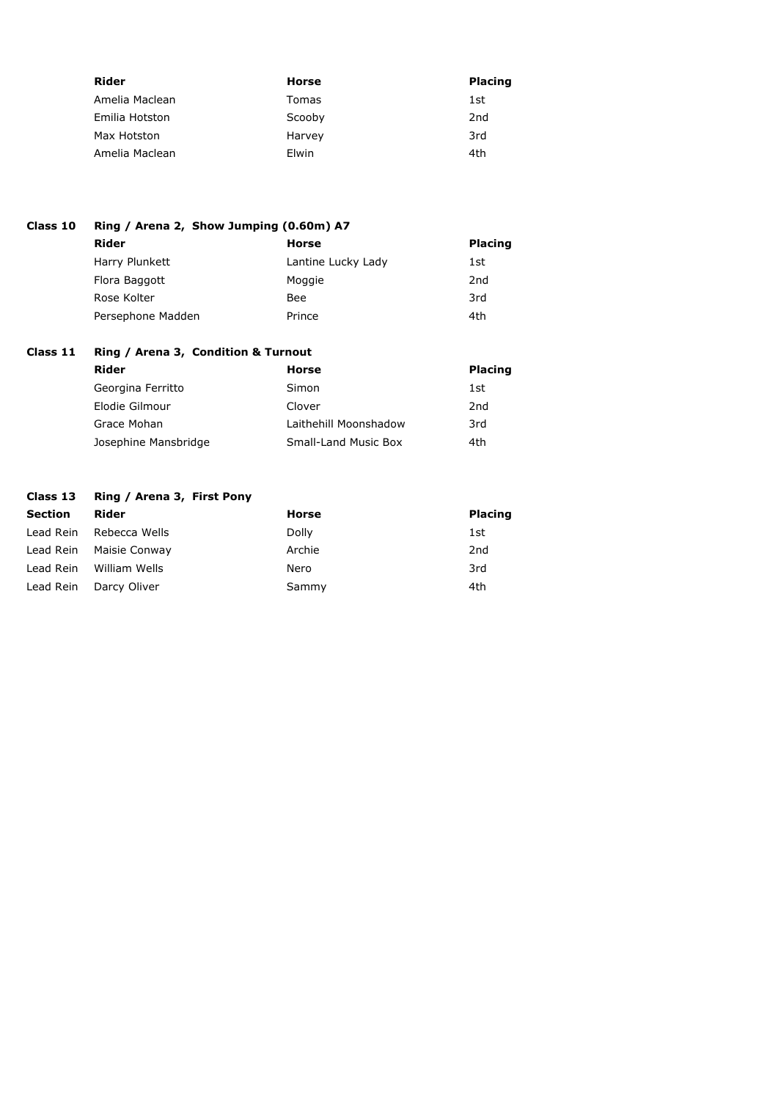| Rider          | Horse  | <b>Placing</b>  |
|----------------|--------|-----------------|
| Amelia Maclean | Tomas  | 1st             |
| Emilia Hotston | Scooby | 2 <sub>nd</sub> |
| Max Hotston    | Harvey | 3rd             |
| Amelia Maclean | Elwin  | 4th             |

| Class 10 | Ring / Arena 2, Show Jumping (0.60m) A7 |                    |                 |
|----------|-----------------------------------------|--------------------|-----------------|
|          | Rider                                   | <b>Horse</b>       | <b>Placing</b>  |
|          | Harry Plunkett                          | Lantine Lucky Lady | 1st             |
|          | Flora Baggott                           | Moggie             | 2 <sub>nd</sub> |
|          | Rose Kolter                             | <b>Bee</b>         | 3rd             |
|          | Persephone Madden                       | Prince             | 4th             |
|          |                                         |                    |                 |

## **Class 11 Ring / Arena 3, Condition & Turnout**

| Rider                | Horse                 | <b>Placing</b>  |
|----------------------|-----------------------|-----------------|
| Georgina Ferritto    | Simon                 | 1st             |
| Elodie Gilmour       | Clover                | 2 <sub>nd</sub> |
| Grace Mohan          | Laithehill Moonshadow | 3rd             |
| Josephine Mansbridge | Small-Land Music Box  | 4th             |

|                | Class 13 Ring / Arena 3, First Pony |        |                 |
|----------------|-------------------------------------|--------|-----------------|
| <b>Section</b> | Rider                               | Horse  | <b>Placing</b>  |
| Lead Rein      | Rebecca Wells                       | Dolly  | 1st             |
| Lead Rein      | Maisie Conway                       | Archie | 2 <sub>nd</sub> |
| Lead Rein      | William Wells                       | Nero   | 3rd             |
| Lead Rein      | Darcy Oliver                        | Sammy  | 4th             |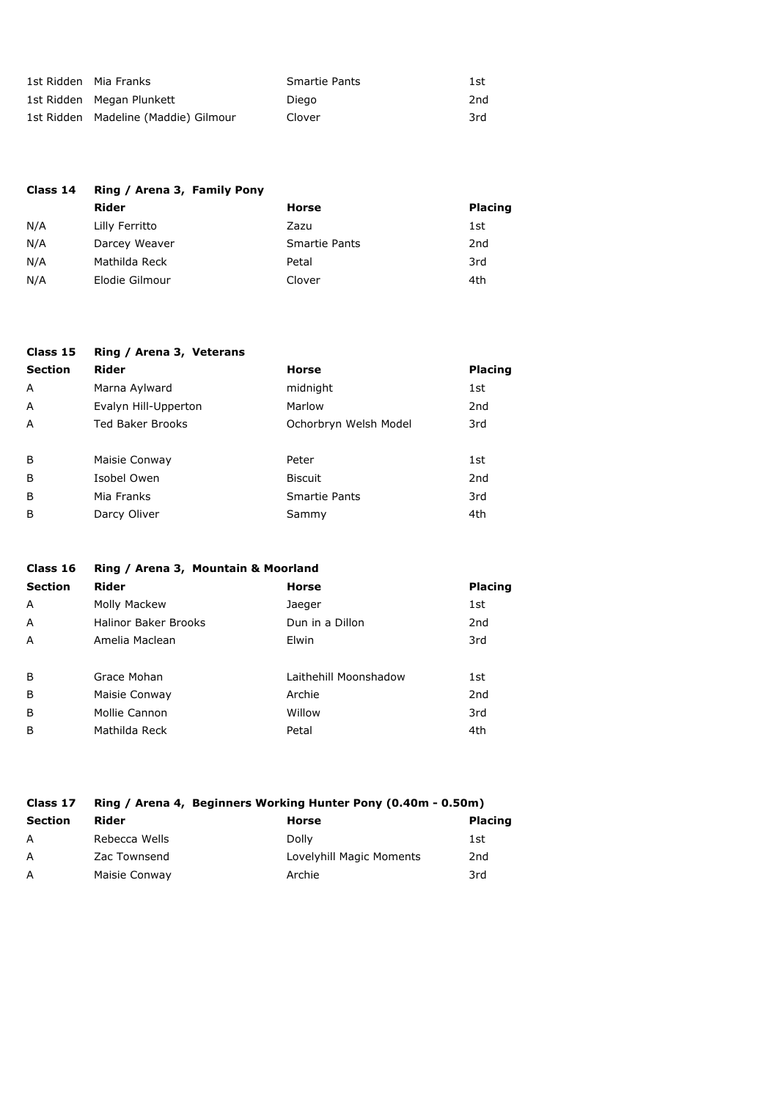| 1st Ridden Mia Franks                | <b>Smartie Pants</b> | 1st |
|--------------------------------------|----------------------|-----|
| 1st Ridden Megan Plunkett            | Diego                | 2nd |
| 1st Ridden Madeline (Maddie) Gilmour | Clover               | 3rd |

| Class 14 | Ring / Arena 3, Family Pony |                      |                 |
|----------|-----------------------------|----------------------|-----------------|
|          | <b>Rider</b>                | <b>Horse</b>         | <b>Placing</b>  |
| N/A      | Lilly Ferritto              | Zazu                 | 1st             |
| N/A      | Darcey Weaver               | <b>Smartie Pants</b> | 2 <sub>nd</sub> |
| N/A      | Mathilda Reck               | Petal                | 3rd             |
| N/A      | Elodie Gilmour              | Clover               | 4th             |

| Class 15       | Ring / Arena 3, Veterans |                       |                 |
|----------------|--------------------------|-----------------------|-----------------|
| <b>Section</b> | Rider                    | <b>Horse</b>          | <b>Placing</b>  |
| A              | Marna Aylward            | midnight              | 1st             |
| A              | Evalyn Hill-Upperton     | Marlow                | 2 <sub>nd</sub> |
| A              | <b>Ted Baker Brooks</b>  | Ochorbryn Welsh Model | 3rd             |
|                |                          |                       |                 |
| B              | Maisie Conway            | Peter                 | 1st             |
| B              | Isobel Owen              | <b>Biscuit</b>        | 2 <sub>nd</sub> |
| B              | Mia Franks               | Smartie Pants         | 3rd             |
| B              | Darcy Oliver             | Sammy                 | 4th             |
|                |                          |                       |                 |

| Class 16       | Ring / Arena 3, Mountain & Moorland |                       |                 |
|----------------|-------------------------------------|-----------------------|-----------------|
| <b>Section</b> | Rider                               | <b>Horse</b>          | <b>Placing</b>  |
| A              | Molly Mackew                        | Jaeger                | 1st             |
| A              | <b>Halinor Baker Brooks</b>         | Dun in a Dillon       | 2 <sub>nd</sub> |
| $\overline{A}$ | Amelia Maclean                      | Elwin                 | 3rd             |
| B              | Grace Mohan                         | Laithehill Moonshadow | 1st             |
| B              | Maisie Conway                       | Archie                | 2 <sub>nd</sub> |
| B              | Mollie Cannon                       | Willow                | 3rd             |
| B              | Mathilda Reck                       | Petal                 | 4th             |

| Class 17       | Ring / Arena 4, Beginners Working Hunter Pony (0.40m - 0.50m) |                          |                 |
|----------------|---------------------------------------------------------------|--------------------------|-----------------|
| <b>Section</b> | Rider                                                         | Horse                    | <b>Placing</b>  |
| A              | Rebecca Wells                                                 | Dolly                    | 1st             |
| A              | Zac Townsend                                                  | Lovelyhill Magic Moments | 2 <sub>nd</sub> |
| A              | Maisie Conway                                                 | Archie                   | 3rd             |